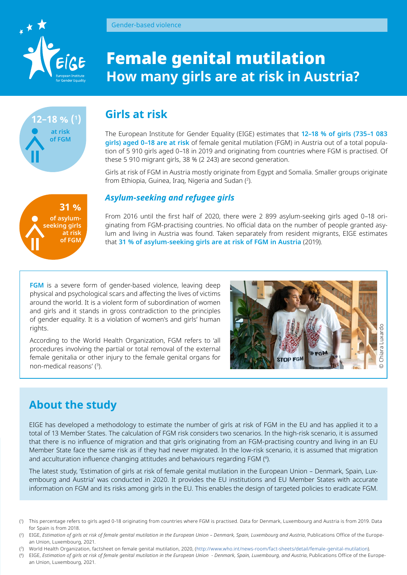

**12–18 % (1 )**

**at risk of FGM**

# **Girls at risk**

Gender-based violence

The European Institute for Gender Equality (EIGE) estimates that **12–18 % of girls (735–1 083 girls) aged 0–18 are at risk** of female genital mutilation (FGM) in Austria out of a total population of 5 910 girls aged 0–18 in 2019 and originating from countries where FGM is practised. Of these 5 910 migrant girls, 38 % (2 243) are second generation.

Girls at risk of FGM in Austria mostly originate from Egypt and Somalia. Smaller groups originate from Ethiopia, Guinea, Iraq, Nigeria and Sudan (2 ).

#### *Asylum-seeking and refugee girls*

From 2016 until the first half of 2020, there were 2 899 asylum-seeking girls aged 0–18 originating from FGM-practising countries. No official data on the number of people granted asylum and living in Austria was found. Taken separately from resident migrants, EIGE estimates that **31 % of asylum-seeking girls are at risk of FGM in Austria** (2019).

**FGM** is a severe form of gender-based violence, leaving deep physical and psychological scars and affecting the lives of victims around the world. It is a violent form of subordination of women and girls and it stands in gross contradiction to the principles of gender equality. It is a violation of women's and girls' human rights.

According to the World Health Organization, FGM refers to 'all procedures involving the partial or total removal of the external female genitalia or other injury to the female genital organs for non-medical reasons' (3 ).



# **About the study**

rights.<br>
According to the World Health Organization, FGM refers to all<br>
Arcording to the World Health Organization, FGM refers to all<br>
remain generalis or other injury to the female genital organs for<br>
supplementant and th EIGE has developed a methodology to estimate the number of girls at risk of FGM in the EU and has applied it to a total of 13 Member States. The calculation of FGM risk considers two scenarios. In the high-risk scenario, it is assumed that there is no influence of migration and that girls originating from an FGM-practising country and living in an EU Member State face the same risk as if they had never migrated. In the low-risk scenario, it is assumed that migration and acculturation influence changing attitudes and behaviours regarding FGM (4).

The latest study, 'Estimation of girls at risk of female genital mutilation in the European Union – Denmark, Spain, Luxembourg and Austria' was conducted in 2020. It provides the EU institutions and EU Member States with accurate information on FGM and its risks among girls in the EU. This enables the design of targeted policies to eradicate FGM.

( 3) World Health Organization, factsheet on female genital mutilation, 2020, [\(http://www.who.int/news-room/fact-sheets/detail/female-genital-mutilation\)](http://www.who.int/news-room/fact-sheets/detail/female-genital-mutilation).



<sup>(</sup> 1 ) This percentage refers to girls aged 0-18 originating from countries where FGM is practised. Data for Denmark, Luxembourg and Austria is from 2019. Data for Spain is from 2018.

<sup>(</sup> 2) EIGE, *Estimation of girls at risk of female genital mutilation in the European Union – Denmark, Spain, Luxembourg and Austria*, Publications Office of the European Union, Luxembourg, 2021.

<sup>(</sup> 4) EIGE, *Estimation of girls at risk of female genital mutilation in the European Union - Denmark, Spain, Luxembourg, and Austria*, Publications Office of the Europe-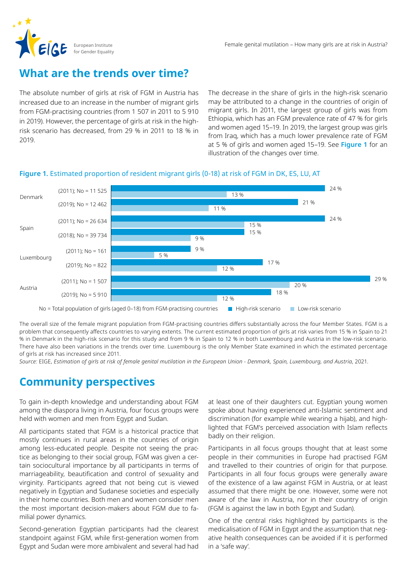

### **What are the trends over time?**

The absolute number of girls at risk of FGM in Austria has increased due to an increase in the number of migrant girls from FGM-practising countries (from 1 507 in 2011 to 5 910 in 2019). However, the percentage of girls at risk in the highrisk scenario has decreased, from 29 % in 2011 to 18 % in 2019.

The decrease in the share of girls in the high-risk scenario may be attributed to a change in the countries of origin of migrant girls. In 2011, the largest group of girls was from Ethiopia, which has an FGM prevalence rate of 47 % for girls and women aged 15–19. In 2019, the largest group was girls from Iraq, which has a much lower prevalence rate of FGM at 5 % of girls and women aged 15–19. See **Figure 1** for an illustration of the changes over time.

#### **Figure 1.** Estimated proportion of resident migrant girls (0-18) at risk of FGM in DK, ES, LU, AT



The overall size of the female migrant population from FGM-practising countries differs substantially across the four Member States. FGM is a problem that consequently affects countries to varying extents. The current estimated proportion of girls at risk varies from 15 % in Spain to 21 % in Denmark in the high-risk scenario for this study and from 9 % in Spain to 12 % in both Luxembourg and Austria in the low-risk scenario. There have also been variations in the trends over time. Luxembourg is the only Member State examined in which the estimated percentage of girls at risk has increased since 2011.

*Source:* EIGE, *Estimation of girls at risk of female genital mutilation in the European Union - Denmark, Spain, Luxembourg, and Austria*, 2021.

# **Community perspectives**

To gain in-depth knowledge and understanding about FGM among the diaspora living in Austria, four focus groups were held with women and men from Egypt and Sudan.

All participants stated that FGM is a historical practice that mostly continues in rural areas in the countries of origin among less-educated people. Despite not seeing the practice as belonging to their social group, FGM was given a certain sociocultural importance by all participants in terms of marriageability, beautification and control of sexuality and virginity. Participants agreed that not being cut is viewed negatively in Egyptian and Sudanese societies and especially in their home countries. Both men and women consider men the most important decision-makers about FGM due to familial power dynamics.

Second-generation Egyptian participants had the clearest standpoint against FGM, while first-generation women from Egypt and Sudan were more ambivalent and several had had at least one of their daughters cut. Egyptian young women spoke about having experienced anti-Islamic sentiment and discrimination (for example while wearing a hijab), and highlighted that FGM's perceived association with Islam reflects badly on their religion.

Participants in all focus groups thought that at least some people in their communities in Europe had practised FGM and travelled to their countries of origin for that purpose. Participants in all four focus groups were generally aware of the existence of a law against FGM in Austria, or at least assumed that there might be one. However, some were not aware of the law in Austria, nor in their country of origin (FGM is against the law in both Egypt and Sudan).

One of the central risks highlighted by participants is the medicalisation of FGM in Egypt and the assumption that negative health consequences can be avoided if it is performed in a 'safe way'.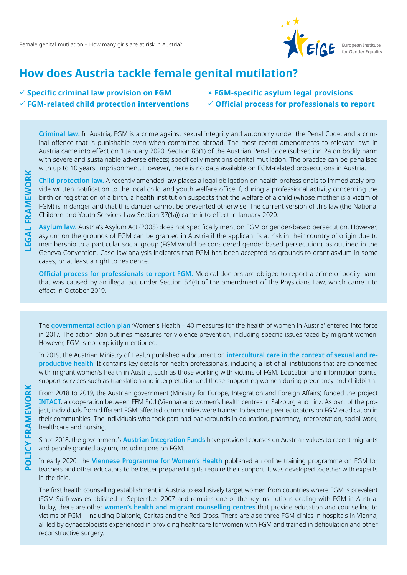

# **How does Austria tackle female genital mutilation?**

#### **Specific criminal law provision on FGM FGM-related child protection interventions**

#### **FGM-specific asylum legal provisions Official process for professionals to report**

**Criminal law.** In Austria, FGM is a crime against sexual integrity and autonomy under the Penal Code, and a criminal offence that is punishable even when committed abroad. The most recent amendments to relevant laws in Austria came into effect on 1 January 2020. Section 85(1) of the Austrian Penal Code (subsection 2a on bodily harm with severe and sustainable adverse effects) specifically mentions genital mutilation. The practice can be penalised with up to 10 years' imprisonment. However, there is no data available on FGM-related prosecutions in Austria.

**Child protection law.** A recently amended law places a legal obligation on health professionals to immediately provide written notification to the local child and youth welfare office if, during a professional activity concerning the birth or registration of a birth, a health institution suspects that the welfare of a child (whose mother is a victim of FGM) is in danger and that this danger cannot be prevented otherwise. The current version of this law (the National Children and Youth Services Law Section 37(1a)) came into effect in January 2020.

**Asylum law.** Austria's Asylum Act (2005) does not specifically mention FGM or gender-based persecution. However, asylum on the grounds of FGM can be granted in Austria if the applicant is at risk in their country of origin due to membership to a particular social group (FGM would be considered gender-based persecution), as outlined in the Geneva Convention. Case-law analysis indicates that FGM has been accepted as grounds to grant asylum in some cases, or at least a right to residence.

**Official process for professionals to report FGM.** Medical doctors are obliged to report a crime of bodily harm that was caused by an illegal act under Section 54(4) of the amendment of the Physicians Law, which came into effect in October 2019.

The **governmental action plan** 'Women's Health – 40 measures for the health of women in Austria' entered into force in 2017. The action plan outlines measures for violence prevention, including specific issues faced by migrant women. However, FGM is not explicitly mentioned.

In 2019, the Austrian Ministry of Health published a document on **intercultural care in the context of sexual and reproductive health**. It contains key details for health professionals, including a list of all institutions that are concerned with migrant women's health in Austria, such as those working with victims of FGM. Education and information points, support services such as translation and interpretation and those supporting women during pregnancy and childbirth.

From 2018 to 2019, the Austrian government (Ministry for Europe, Integration and Foreign Affairs) funded the project **INTACT**, a cooperation between FEM Süd (Vienna) and women's health centres in Salzburg and Linz. As part of the project, individuals from different FGM-affected communities were trained to become peer educators on FGM eradication in their communities. The individuals who took part had backgrounds in education, pharmacy, interpretation, social work, healthcare and nursing.

Since 2018, the government's **Austrian Integration Funds** have provided courses on Austrian values to recent migrants and people granted asylum, including one on FGM.

In early 2020, the **Viennese Programme for Women's Health** published an online training programme on FGM for teachers and other educators to be better prepared if girls require their support. It was developed together with experts in the field.

The first health counselling establishment in Austria to exclusively target women from countries where FGM is prevalent (FGM Süd) was established in September 2007 and remains one of the key institutions dealing with FGM in Austria. Today, there are other **women's health and migrant counselling centres** that provide education and counselling to victims of FGM – including Diakonie, Caritas and the Red Cross. There are also three FGM clinics in hospitals in Vienna, all led by gynaecologists experienced in providing healthcare for women with FGM and trained in defibulation and other reconstructive surgery.

**POLICY FRAMEWORK**

**POLICY FRAMEWORK**